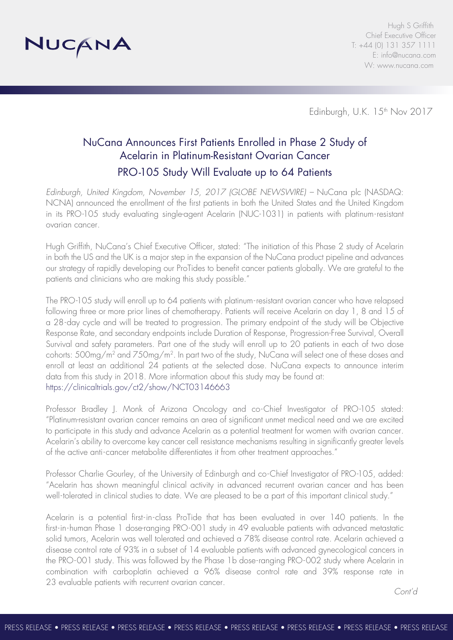

Hugh S Griffith Chief Executive Officer T: +44 (0) 131 357 1111 E: [info@nucana.com](mailto:info@nucana.com) W: [www.nucana.com](http://www.nucana.com)

Edinburgh, U.K. 15<sup>th</sup> Nov 2017

## NuCana Announces First Patients Enrolled in Phase 2 Study of Acelarin in Platinum-Resistant Ovarian Cancer PRO-105 Study Will Evaluate up to 64 Patients

*Edinburgh, United Kingdom, November 15, 2017 (GLOBE NEWSWIRE) –* NuCana plc (NASDAQ: NCNA) announced the enrollment of the first patients in both the United States and the United Kingdom in its PRO-105 study evaluating single-agent Acelarin (NUC-1031) in patients with platinum-resistant ovarian cancer.

Hugh Griffith, NuCana's Chief Executive Officer, stated: "The initiation of this Phase 2 study of Acelarin in both the US and the UK is a major step in the expansion of the NuCana product pipeline and advances our strategy of rapidly developing our ProTides to benefit cancer patients globally. We are grateful to the patients and clinicians who are making this study possible."

The PRO-105 study will enroll up to 64 patients with platinum-resistant ovarian cancer who have relapsed following three or more prior lines of chemotherapy. Patients will receive Acelarin on day 1, 8 and 15 of a 28-day cycle and will be treated to progression. The primary endpoint of the study will be Objective Response Rate, and secondary endpoints include Duration of Response, Progression-Free Survival, Overall Survival and safety parameters. Part one of the study will enroll up to 20 patients in each of two dose cohorts: 500mg/m2 and 750mg/m2. In part two of the study, NuCana will select one of these doses and enroll at least an additional 24 patients at the selected dose. NuCana expects to announce interim data from this study in 2018. More information about this study may be found at: <https://clinicaltrials.gov/ct2/show/NCT03146663>

Professor Bradley J. Monk of Arizona Oncology and co-Chief Investigator of PRO-105 stated: "Platinum-resistant ovarian cancer remains an area of significant unmet medical need and we are excited to participate in this study and advance Acelarin as a potential treatment for women with ovarian cancer. Acelarin's ability to overcome key cancer cell resistance mechanisms resulting in significantly greater levels of the active anti-cancer metabolite differentiates it from other treatment approaches."

Professor Charlie Gourley, of the University of Edinburgh and co-Chief Investigator of PRO-105, added: "Acelarin has shown meaningful clinical activity in advanced recurrent ovarian cancer and has been well-tolerated in clinical studies to date. We are pleased to be a part of this important clinical study."

Acelarin is a potential first-in-class ProTide that has been evaluated in over 140 patients. In the first-in-human Phase 1 dose-ranging PRO-001 study in 49 evaluable patients with advanced metastatic solid tumors, Acelarin was well tolerated and achieved a 78% disease control rate. Acelarin achieved a disease control rate of 93% in a subset of 14 evaluable patients with advanced gynecological cancers in the PRO-001 study. This was followed by the Phase 1b dose-ranging PRO-002 study where Acelarin in combination with carboplatin achieved a 96% disease control rate and 39% response rate in 23 evaluable patients with recurrent ovarian cancer.

*Cont'd*